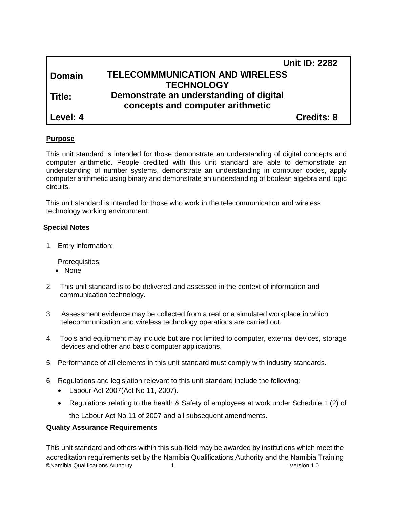|               | <b>Unit ID: 2282</b>                    |  |
|---------------|-----------------------------------------|--|
| <b>Domain</b> | <b>TELECOMMMUNICATION AND WIRELESS</b>  |  |
|               | <b>TECHNOLOGY</b>                       |  |
| Title:        | Demonstrate an understanding of digital |  |
|               | concepts and computer arithmetic        |  |
| Level: 4      | <b>Credits: 8</b>                       |  |

# **Purpose**

This unit standard is intended for those demonstrate an understanding of digital concepts and computer arithmetic. People credited with this unit standard are able to demonstrate an understanding of number systems, demonstrate an understanding in computer codes, apply computer arithmetic using binary and demonstrate an understanding of boolean algebra and logic circuits.

This unit standard is intended for those who work in the telecommunication and wireless technology working environment.

#### **Special Notes**

1. Entry information:

Prerequisites:

- None
- 2. This unit standard is to be delivered and assessed in the context of information and communication technology.
- 3. Assessment evidence may be collected from a real or a simulated workplace in which telecommunication and wireless technology operations are carried out.
- 4. Tools and equipment may include but are not limited to computer, external devices, storage devices and other and basic computer applications.
- 5. Performance of all elements in this unit standard must comply with industry standards.
- 6. Regulations and legislation relevant to this unit standard include the following:
	- Labour Act 2007(Act No 11, 2007).
	- Regulations relating to the health & Safety of employees at work under Schedule 1 (2) of the Labour Act No.11 of 2007 and all subsequent amendments.

#### **Quality Assurance Requirements**

©Namibia Qualifications Authority 1 Version 1.0 This unit standard and others within this sub-field may be awarded by institutions which meet the accreditation requirements set by the Namibia Qualifications Authority and the Namibia Training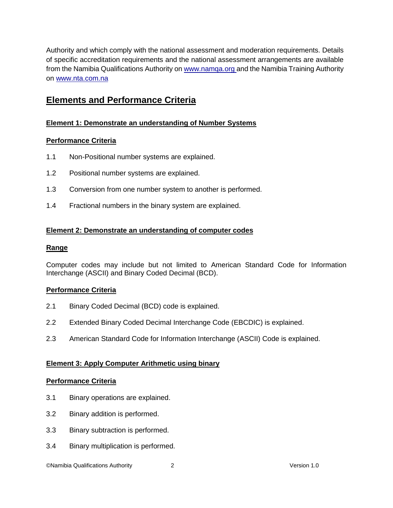Authority and which comply with the national assessment and moderation requirements. Details of specific accreditation requirements and the national assessment arrangements are available from the Namibia Qualifications Authority o[n www.namqa.org a](http://www.namqa.org/)nd the Namibia Training Authority on [www.nta.com.na](http://www.nta.com.na/)

# **Elements and Performance Criteria**

# **Element 1: Demonstrate an understanding of Number Systems**

# **Performance Criteria**

- 1.1 Non-Positional number systems are explained.
- 1.2 Positional number systems are explained.
- 1.3 Conversion from one number system to another is performed.
- 1.4 Fractional numbers in the binary system are explained.

# **Element 2: Demonstrate an understanding of computer codes**

#### **Range**

Computer codes may include but not limited to American Standard Code for Information Interchange (ASCII) and Binary Coded Decimal (BCD).

# **Performance Criteria**

- 2.1 Binary Coded Decimal (BCD) code is explained.
- 2.2 Extended Binary Coded Decimal Interchange Code (EBCDIC) is explained.
- 2.3 American Standard Code for Information Interchange (ASCII) Code is explained.

# **Element 3: Apply Computer Arithmetic using binary**

#### **Performance Criteria**

- 3.1 Binary operations are explained.
- 3.2 Binary addition is performed.
- 3.3 Binary subtraction is performed.
- 3.4 Binary multiplication is performed.